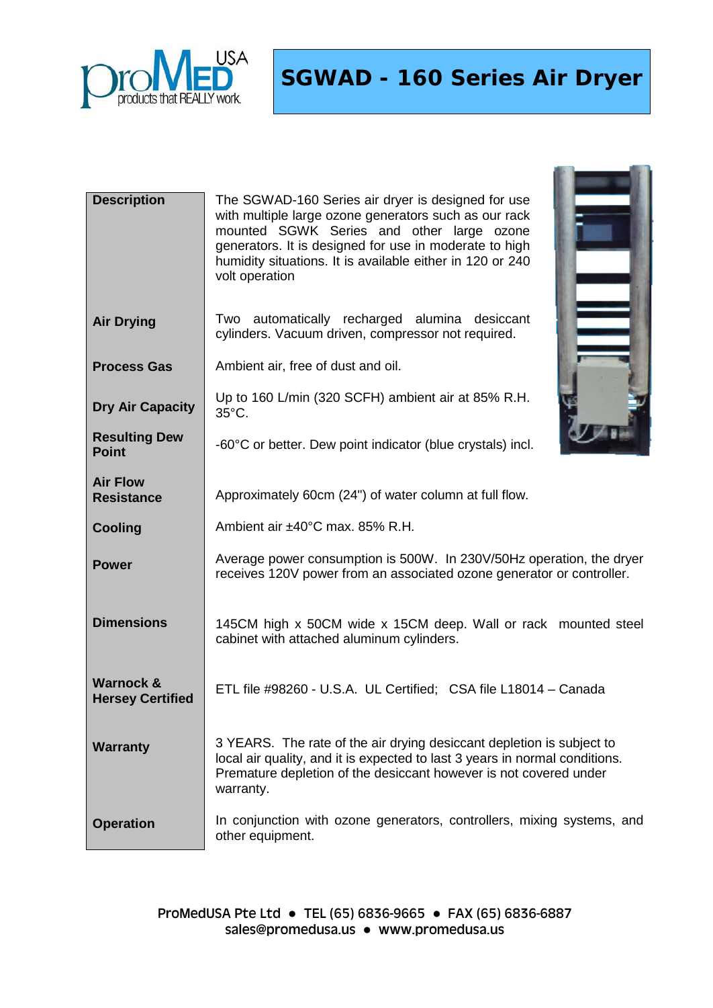

**SGWAD - 160 Series Air Dryer**

| <b>Description</b>                              | The SGWAD-160 Series air dryer is designed for use<br>with multiple large ozone generators such as our rack<br>mounted SGWK Series and other large ozone<br>generators. It is designed for use in moderate to high<br>humidity situations. It is available either in 120 or 240<br>volt operation |
|-------------------------------------------------|---------------------------------------------------------------------------------------------------------------------------------------------------------------------------------------------------------------------------------------------------------------------------------------------------|
| <b>Air Drying</b>                               | Two automatically recharged alumina desiccant<br>cylinders. Vacuum driven, compressor not required.                                                                                                                                                                                               |
| <b>Process Gas</b>                              | Ambient air, free of dust and oil.                                                                                                                                                                                                                                                                |
| <b>Dry Air Capacity</b>                         | Up to 160 L/min (320 SCFH) ambient air at 85% R.H.<br>35°C.                                                                                                                                                                                                                                       |
| <b>Resulting Dew</b><br><b>Point</b>            | -60°C or better. Dew point indicator (blue crystals) incl.                                                                                                                                                                                                                                        |
| <b>Air Flow</b><br><b>Resistance</b>            | Approximately 60cm (24") of water column at full flow.                                                                                                                                                                                                                                            |
| <b>Cooling</b>                                  | Ambient air ±40°C max. 85% R.H.                                                                                                                                                                                                                                                                   |
| <b>Power</b>                                    | Average power consumption is 500W. In 230V/50Hz operation, the dryer<br>receives 120V power from an associated ozone generator or controller.                                                                                                                                                     |
| <b>Dimensions</b>                               | 145CM high x 50CM wide x 15CM deep. Wall or rack mounted steel<br>cabinet with attached aluminum cylinders.                                                                                                                                                                                       |
| <b>Warnock &amp;</b><br><b>Hersey Certified</b> | ETL file #98260 - U.S.A. UL Certified; CSA file L18014 - Canada                                                                                                                                                                                                                                   |
| <b>Warranty</b>                                 | 3 YEARS. The rate of the air drying desiccant depletion is subject to<br>local air quality, and it is expected to last 3 years in normal conditions.<br>Premature depletion of the desiccant however is not covered under<br>warranty.                                                            |
| <b>Operation</b>                                | In conjunction with ozone generators, controllers, mixing systems, and<br>other equipment.                                                                                                                                                                                                        |

ProMedUSA Pte Ltd ● TEL (65) 6836-9665 ● FAX (65) 6836-6887 [sales@promedusa.us](mailto:sales@promedusa.us) • www.promedusa.us